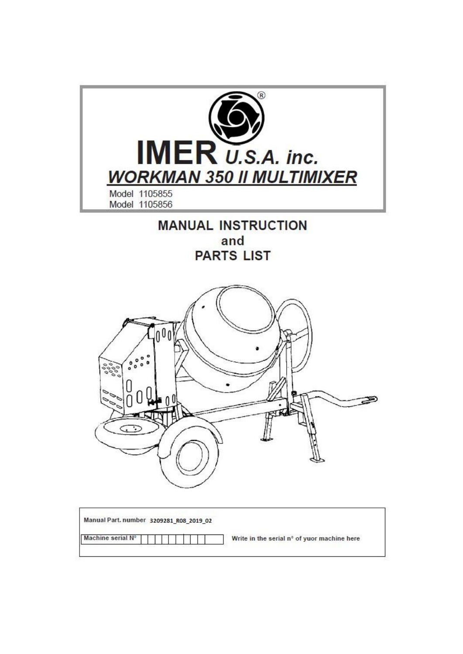

| Machine serial N° |  |  |  | Write in the serial n° of yuor machine here |
|-------------------|--|--|--|---------------------------------------------|
|-------------------|--|--|--|---------------------------------------------|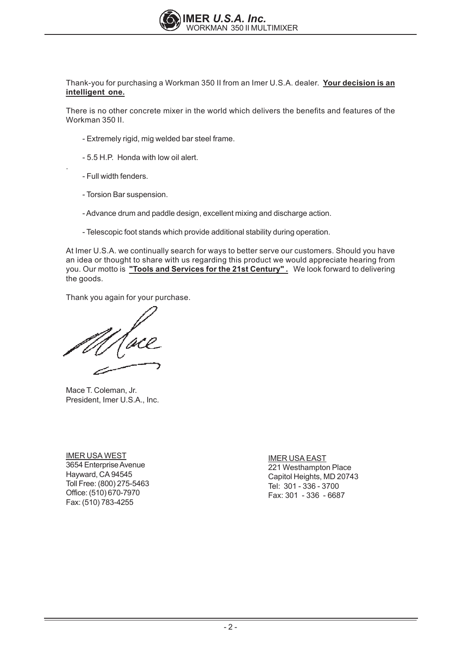

Thank-you for purchasing a Workman 350 II from an Imer U.S.A. dealer. Your decision is an **intelligent one.**

There is no other concrete mixer in the world which delivers the benefits and features of the Workman 350 II.

- Extremely rigid, mig welded bar steel frame.
- 5.5 H.P. Honda with low oil alert.
- Full width fenders.

 $\ddot{\phantom{0}}$ 

- Torsion Bar suspension.
- Advance drum and paddle design, excellent mixing and discharge action.
- Telescopic foot stands which provide additional stability during operation.

At Imer U.S.A. we continually search for ways to better serve our customers. Should you have an idea or thought to share with us regarding this product we would appreciate hearing from you. Our motto is "Tools and Services for the 21st Century" . We look forward to delivering the goods.

Thank you again for your purchase.

Mace T. Coleman, Jr. President, Imer U.S.A., Inc.

**IMER USA WEST** 3654 Enterprise Avenue Hayward, CA 94545 Toll Free: (800) 275-5463 Office: (510) 670-7970 Fax: (510) 783-4255

**IMER USA EAST** 221 Westhampton Place Capitol Heights, MD 20743 Tel:  $301 - 336 - 3700$ Fax: 301 - 336 - 6687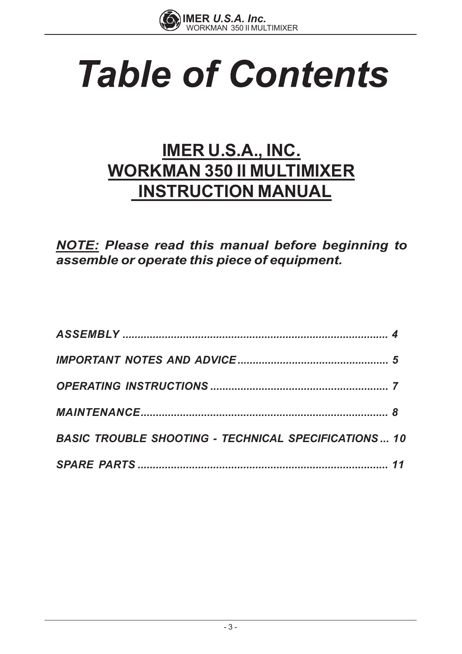

# **Table of Contents**

# **IMER U.S.A., INC. WORKMAN 350 II MULTIMIXER INSTRUCTION MANUAL**

**NOTE:** Please read this manual before beginning to assemble or operate this piece of equipment.

| <b>BASIC TROUBLE SHOOTING - TECHNICAL SPECIFICATIONS 10</b> |  |
|-------------------------------------------------------------|--|
|                                                             |  |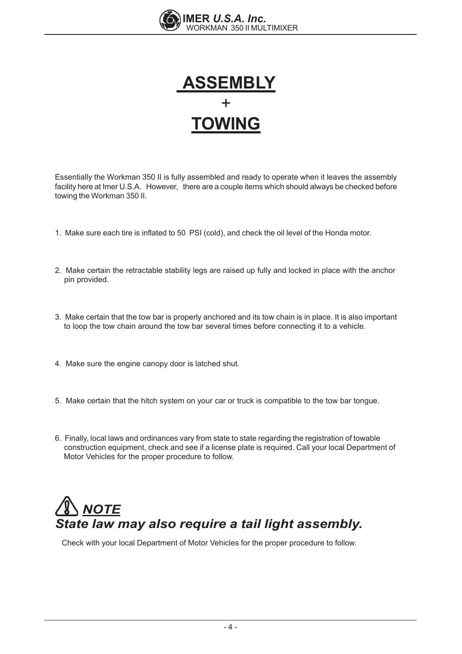



Essentially the Workman 350 II is fully assembled and ready to operate when it leaves the assembly facility here at Imer U.S.A. However, there are a couple items which should always be checked before towing the Workman 350 II.

- 1. Make sure each tire is inflated to 50 PSI (cold), and check the oil level of the Honda motor.
- 2. Make certain the retractable stability legs are raised up fully and locked in place with the anchor pin provided.
- 3. Make certain that the tow bar is properly anchored and its tow chain is in place. It is also important to loop the tow chain around the tow bar several times before connecting it to a vehicle.
- 4. Make sure the engine canopy door is latched shut.
- 5. Make certain that the hitch system on your car or truck is compatible to the tow bar tongue.
- 6. Finally, local laws and ordinances vary from state to state regarding the registration of towable construction equipment, check and see if a license plate is required. Call your local Department of Motor Vehicles for the proper procedure to follow.

# *NOTE State law may also require a tail light assembly.*

Check with your local Department of Motor Vehicles for the proper procedure to follow.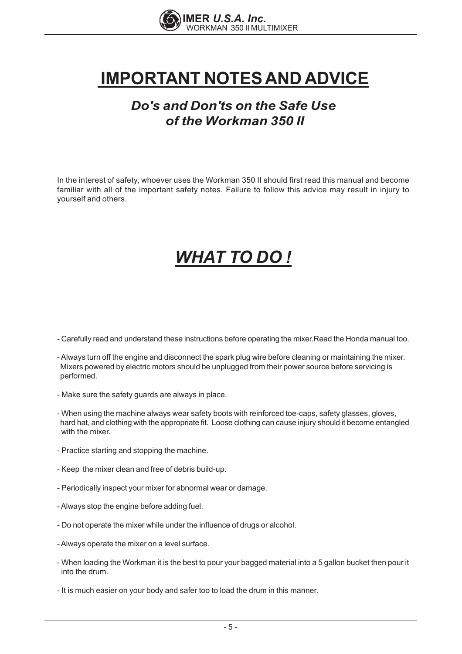

# **IMPORTANT NOTES AND ADVICE**

### *Do's and Don'ts on the Safe Use of the Workman 350 II*

In the interest of safety, whoever uses the Workman 350 II should first read this manual and become familiar with all of the important safety notes. Failure to follow this advice may result in injury to vourself and others.

# *WHAT TO DO !*

- Carefully read and understand these instructions before operating the mixer. Read the Honda manual too.
- Always turn off the engine and disconnect the spark plug wire before cleaning or maintaining the mixer. Mixers powered by electric motors should be unplugged from their power source before servicing is performed.
- Make sure the safety guards are always in place.
- When using the machine always wear safety boots with reinforced toe-caps, safety glasses, gloves, hard hat, and clothing with the appropriate fit. Loose clothing can cause injury should it become entangled with the mixer
- Practice starting and stopping the machine.
- Keep the mixer clean and free of debris build-up.
- Periodically inspect your mixer for abnormal wear or damage.
- Always stop the engine before adding fuel.
- Do not operate the mixer while under the influence of drugs or alcohol.
- Always operate the mixer on a level surface.
- When loading the Workman it is the best to pour your bagged material into a 5 gallon bucket then pour it into the drum.
- It is much easier on your body and safer too to load the drum in this manner.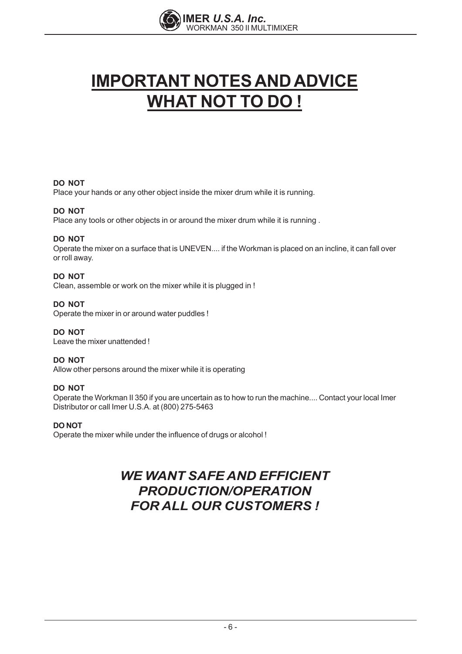

# **IMPORTANT NOTES AND ADVICE WHAT NOT TO DO!**

#### **DO NOT**

Place your hands or any other object inside the mixer drum while it is running.

#### **DO NOT**

Place any tools or other objects in or around the mixer drum while it is running.

#### **DO NOT**

Operate the mixer on a surface that is UNEVEN.... if the Workman is placed on an incline, it can fall over or roll away.

#### **DO NOT**

Clean, assemble or work on the mixer while it is plugged in !

#### DO NOT

Operate the mixer in or around water puddles!

#### DO NOT

Leave the mixer unattended!

#### **DO NOT**

Allow other persons around the mixer while it is operating

#### DO NOT

Operate the Workman II 350 if you are uncertain as to how to run the machine.... Contact your local Imer Distributor or call Imer U.S.A. at (800) 275-5463

#### **DO NOT**

Operate the mixer while under the influence of drugs or alcohol!

### **WE WANT SAFE AND EFFICIENT PRODUCTION/OPERATION FOR ALL OUR CUSTOMERS!**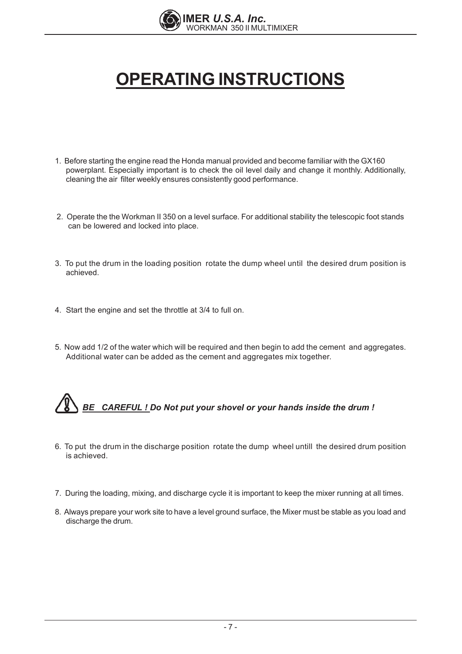

# **OPERATING INSTRUCTIONS**

- 1. Before starting the engine read the Honda manual provided and become familiar with the GX160 powerplant. Especially important is to check the oil level daily and change it monthly. Additionally, cleaning the air filter weekly ensures consistently good performance.
- 2. Operate the the Workman II 350 on a level surface. For additional stability the telescopic foot stands can be lowered and locked into place.
- 3. To put the drum in the loading position rotate the dump wheel until the desired drum position is achieved.
- 4. Start the engine and set the throttle at 3/4 to full on.
- 5. Now add 1/2 of the water which will be required and then begin to add the cement and aggregates. Additional water can be added as the cement and aggregates mix together.

# BE CAREFUL! Do Not put your shovel or your hands inside the drum!

- 6. To put the drum in the discharge position rotate the dump wheel untill the desired drum position is achieved.
- 7. During the loading, mixing, and discharge cycle it is important to keep the mixer running at all times.
- 8. Always prepare your work site to have a level ground surface, the Mixer must be stable as you load and discharge the drum.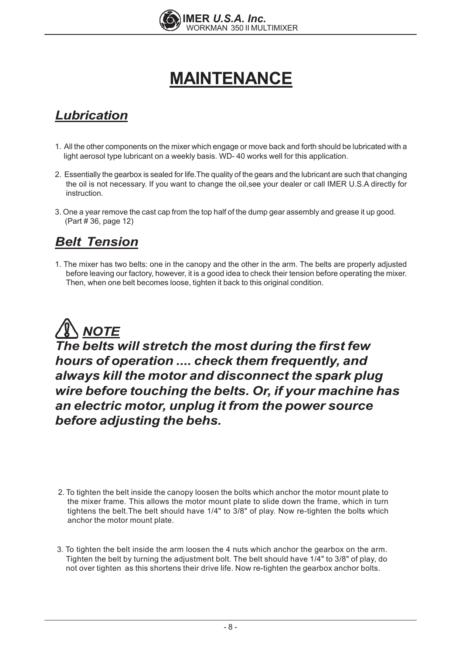

# **MAINTENANCE**

### **Lubrication**

- 1. All the other components on the mixer which engage or move back and forth should be lubricated with a light aerosol type lubricant on a weekly basis. WD-40 works well for this application.
- 2. Essentially the gearbox is sealed for life. The quality of the gears and the lubricant are such that changing the oil is not necessary. If you want to change the oil, see your dealer or call IMER U.S.A directly for instruction.
- 3. One a year remove the cast cap from the top half of the dump gear assembly and grease it up good. (Part #36, page 12)

### **Belt Tension**

1. The mixer has two belts: one in the canopy and the other in the arm. The belts are properly adjusted before leaving our factory, however, it is a good idea to check their tension before operating the mixer. Then, when one belt becomes loose, tighten it back to this original condition.



The belts will stretch the most during the first few hours of operation .... check them frequently, and always kill the motor and disconnect the spark plug wire before touching the belts. Or, if your machine has an electric motor, unplug it from the power source before adjusting the behs.

- 2. To tighten the belt inside the canopy loosen the bolts which anchor the motor mount plate to the mixer frame. This allows the motor mount plate to slide down the frame, which in turn tightens the belt. The belt should have 1/4" to 3/8" of play. Now re-tighten the bolts which anchor the motor mount plate.
- 3. To tighten the belt inside the arm loosen the 4 nuts which anchor the gearbox on the arm. Tighten the belt by turning the adjustment bolt. The belt should have 1/4" to 3/8" of play, do not over tighten as this shortens their drive life. Now re-tighten the gearbox anchor bolts.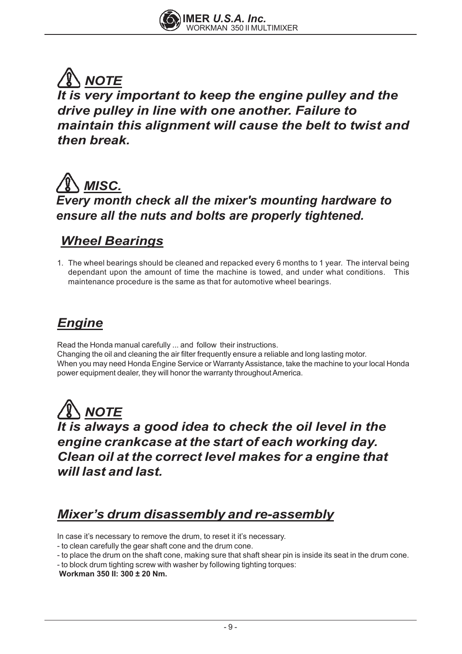

### *NOTE It is very important to keep the engine pulley and the drive pulley in line with one another. Failure to maintain this alignment will cause the belt to twist and then break.*



### *Wheel Bearings*

1. The wheel bearings should be cleaned and repacked every 6 months to 1 year. The interval being dependant upon the amount of time the machine is towed, and under what conditions. This maintenance procedure is the same as that for automotive wheel bearings.

### *Engine*

Read the Honda manual carefully ... and follow their instructions. Changing the oil and cleaning the air filter frequently ensure a reliable and long lasting motor. When you may need Honda Engine Service or Warranty Assistance, take the machine to your local Honda power equipment dealer, they will honor the warranty throughout America.

*NOTE It is always a good idea to check the oil level in the engine crankcase at the start of each working day. Clean oil at the correct level makes for a engine that will last and last.*

### *Mixer's drum disassembly and re-assembly*

In case it's necessary to remove the drum, to reset it it's necessary.

- to clean carefully the gear shaft cone and the drum cone.
- to place the drum on the shaft cone, making sure that shaft shear pin is inside its seat in the drum cone.
- to block drum tighting screw with washer by following tighting torques:

**Workman 350 II: 300 ± 20 Nm.**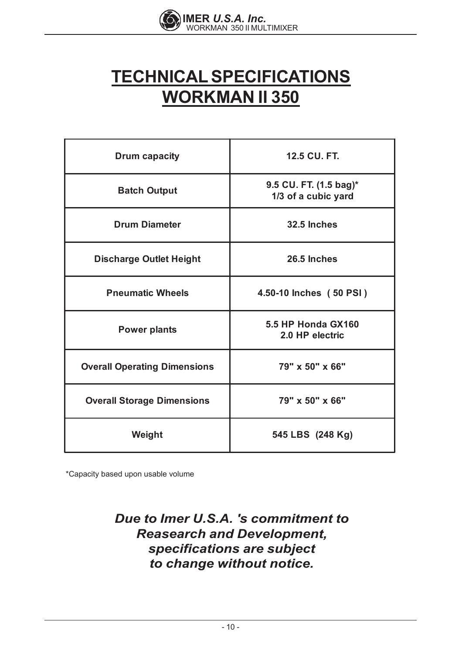

# **TECHNICALSPECIFICATIONS WORKMAN II 350**

| <b>Drum capacity</b>                | 12.5 CU. FT.                                  |  |  |  |
|-------------------------------------|-----------------------------------------------|--|--|--|
| <b>Batch Output</b>                 | 9.5 CU. FT. (1.5 bag)*<br>1/3 of a cubic yard |  |  |  |
| <b>Drum Diameter</b>                | 32.5 Inches                                   |  |  |  |
| <b>Discharge Outlet Height</b>      | 26.5 Inches                                   |  |  |  |
| <b>Pneumatic Wheels</b>             | 4.50-10 Inches (50 PSI)                       |  |  |  |
| <b>Power plants</b>                 | 5.5 HP Honda GX160<br>2.0 HP electric         |  |  |  |
| <b>Overall Operating Dimensions</b> | 79" x 50" x 66"                               |  |  |  |
| <b>Overall Storage Dimensions</b>   | 79" x 50" x 66"                               |  |  |  |
| Weight                              | 545 LBS (248 Kg)                              |  |  |  |

\*Capacity based upon usable volume

### *Due to Imer U.S.A. 's commitment to Reasearch and Development, specifications are subject to change without notice.*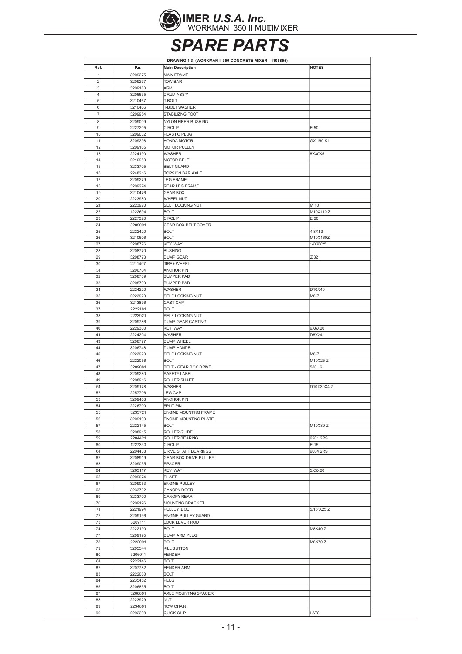

**SPARE PARTS** 

|                         | DRAWING 1.3 (WORKMAN II 350 CONCRETE MIXER - 1105855) |                                       |                                 |  |  |  |
|-------------------------|-------------------------------------------------------|---------------------------------------|---------------------------------|--|--|--|
| Ref.                    | P.n.                                                  | <b>Main Description</b>               | <b>NOTES</b>                    |  |  |  |
| 1                       | 3209275                                               | MAIN FRAME                            |                                 |  |  |  |
| 2                       | 3209277                                               | TOW BAR                               |                                 |  |  |  |
| 3                       | 3209183                                               | ARM                                   |                                 |  |  |  |
| $\overline{\mathbf{4}}$ | 3206635                                               | <b>DRUM ASS'Y</b>                     |                                 |  |  |  |
| 5                       | 3210467                                               | T-BOLT                                |                                 |  |  |  |
| 6                       | 3210466                                               | T-BOLT WASHER                         |                                 |  |  |  |
| 7                       | 3209954                                               | STABILIZING FOOT                      |                                 |  |  |  |
| 8<br>9                  | 3209009<br>2227205                                    | NYLON FIBER BUSHING<br>CIRCLIP        | E 50                            |  |  |  |
| 10                      | 3209032                                               | PLASTIC PLUG                          |                                 |  |  |  |
| 11                      | 3209298                                               | HONDA MOTOR                           | GX 160 KI                       |  |  |  |
| 12                      | 3209165                                               | <b>MOTOR PULLEY</b>                   |                                 |  |  |  |
| 13                      | 2224190                                               | WASHER                                | 8X30X5                          |  |  |  |
| 14                      | 2210950                                               | MOTOR BELT                            |                                 |  |  |  |
| 15                      | 3233705                                               | <b>BELT GUARD</b>                     |                                 |  |  |  |
| 16                      | 2248216                                               | TORSION BAR AXLE                      |                                 |  |  |  |
| 17<br>18                | 3209279<br>3209274                                    | LEG FRAME<br>REAR LEG FRAME           |                                 |  |  |  |
| 19                      | 3210476                                               | <b>GEAR BOX</b>                       |                                 |  |  |  |
| 20                      | 2223980                                               | WHEEL NUT                             |                                 |  |  |  |
| 21                      | 2223920                                               | SELF LOCKING NUT                      | M 10                            |  |  |  |
| 22                      | 1222694                                               | BOLT                                  | M10X110Z                        |  |  |  |
| 23                      | 2227320                                               | CIRCLIP                               | $E_{20}$                        |  |  |  |
| 24                      | 3209091                                               | <b>GEAR BOX BELT COVER</b>            |                                 |  |  |  |
| 25                      | 2222420                                               | <b>BOLT</b>                           | 4,8X13                          |  |  |  |
| 26                      | 3210606                                               | <b>BOLT</b>                           | M10X160Z                        |  |  |  |
| 27                      | 3208776                                               | <b>KEY WAY</b>                        | 14X9X25                         |  |  |  |
| 28<br>29                | 3208770<br>3208773                                    | <b>BUSHING</b><br><b>DUMP GEAR</b>    | Z 32                            |  |  |  |
| 30                      | 2211407                                               | TIRE+WHEEL                            |                                 |  |  |  |
| 31                      | 3206704                                               | ANCHOR PIN                            |                                 |  |  |  |
| 32                      | 3208789                                               | <b>BUMPER PAD</b>                     |                                 |  |  |  |
| 33                      | 3208790                                               | <b>BUMPER PAD</b>                     |                                 |  |  |  |
| 34                      | 2224220                                               | WASHER                                | D <sub>10</sub> X <sub>40</sub> |  |  |  |
| 35                      | 2223923                                               | SELF LOCKING NUT                      | M8Z                             |  |  |  |
| 36                      | 3213876                                               | CAST CAP                              |                                 |  |  |  |
| 37                      | 2222181                                               | <b>BOLT</b>                           |                                 |  |  |  |
| 38<br>39                | 2223921<br>3209786                                    | SELF LOCKING NUT<br>DUMP GEAR CASTING |                                 |  |  |  |
| 40                      | 2229300                                               | KEY WAY                               | 6X6X20                          |  |  |  |
| 41                      | 2224204                                               | WASHER                                | D8X24                           |  |  |  |
| 43                      | 3208777                                               | DUMP WHEEL                            |                                 |  |  |  |
| 44                      | 3206748                                               | <b>DUMP HANDEL</b>                    |                                 |  |  |  |
| 45                      | 2223923                                               | SELF LOCKING NUT                      | M8Z                             |  |  |  |
| 46                      | 2222056                                               | <b>BOLT</b>                           | M10X25 Z                        |  |  |  |
| 47<br>48                | 3209081<br>3209280                                    | BELT - GEAR BOX DRIVE<br>SAFETY LABEL | 580 J6                          |  |  |  |
| 49                      | 3208916                                               | ROLLER SHAFT                          |                                 |  |  |  |
| 51                      | 3209178                                               | WASHER                                | D10X30X4 Z                      |  |  |  |
| 52                      | 2257706                                               | EG CAP                                |                                 |  |  |  |
| 53                      | 3209468                                               | ANCHOR PIN                            |                                 |  |  |  |
| 54                      | 2226700                                               | SPLIT PIN                             |                                 |  |  |  |
| 55                      | 3233721                                               | ENGINE MOUNTING FRAME                 |                                 |  |  |  |
| 56                      | 3209193                                               | <b>ENGINE MOUNTING PLATE</b>          |                                 |  |  |  |
| 57                      | 2222145                                               | <b>BOLT</b>                           | M10X80 Z                        |  |  |  |
| 58<br>59                | 3208915<br>2204421                                    | ROLLER GUIDE<br>ROLLER BEARING        | 6201 2RS                        |  |  |  |
| 60                      | 1227330                                               | CIRCLIP                               | E 15                            |  |  |  |
| 61                      | 2204438                                               | DRIVE SHAFT BEARINGS                  | 6004 2RS                        |  |  |  |
| 62                      | 3208919                                               | <b>GEAR BOX DRIVE PULLEY</b>          |                                 |  |  |  |
| 63                      | 3209055                                               | SPACER                                |                                 |  |  |  |
| 64                      | 3203117                                               | KEY WAY                               | 5X5X20                          |  |  |  |
| 65                      | 3209074                                               | SHAFT                                 |                                 |  |  |  |
| 67                      | 3209053                                               | <b>ENGINE PULLEY</b>                  |                                 |  |  |  |
| 68                      | 3233702                                               | CANOPY DOOR                           |                                 |  |  |  |
| 69<br>70                | 3233700                                               | CANOPY REAR                           |                                 |  |  |  |
| 71                      | 3209196<br>2221994                                    | MOUNTING BRACKET<br>PULLEY BOLT       | 5/16"X25 Z                      |  |  |  |
| 72                      | 3209136                                               | ENGINE PULLEY GUARD                   |                                 |  |  |  |
| 73                      | 3209111                                               | OCK LEVER ROD                         |                                 |  |  |  |
| 74                      | 2222190                                               | <b>BOLT</b>                           | M8X40 Z                         |  |  |  |
| 77                      | 3209195                                               | DUMP ARM PLUG                         |                                 |  |  |  |
| 78                      | 2222091                                               | <b>BOLT</b>                           | <b>M8X70Z</b>                   |  |  |  |
| 79                      | 3205544                                               | KILL BUTTON                           |                                 |  |  |  |
| 80                      | 3206011                                               | FENDER                                |                                 |  |  |  |
| 81                      | 2222146                                               | <b>BOLT</b>                           |                                 |  |  |  |
| 82<br>83                | 3207782<br>2222060                                    | FENDER ARM<br><b>BOLT</b>             |                                 |  |  |  |
| 84                      | 2235452                                               | <b>PLUG</b>                           |                                 |  |  |  |
| 85                      | 3206855                                               | <b>BOLT</b>                           |                                 |  |  |  |
| 87                      | 3206861                                               | AXLE MOUNTING SPACER                  |                                 |  |  |  |
| 88                      | 2223929                                               | NUT                                   |                                 |  |  |  |
| 89                      | 2234861                                               | TOW CHAIN                             |                                 |  |  |  |
| 90                      | 2292298                                               | QUICK CLIP                            | LATC                            |  |  |  |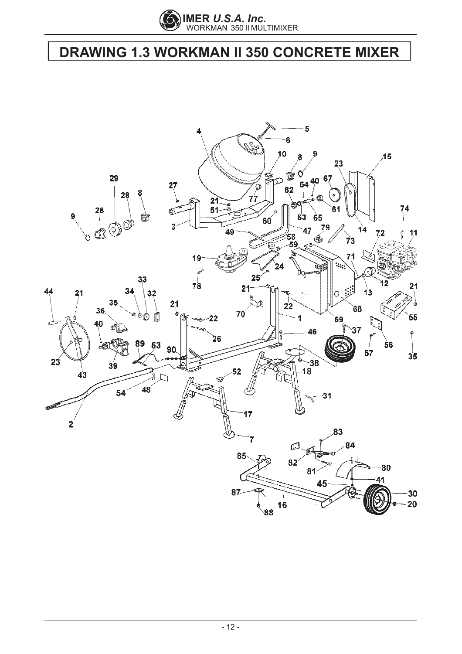

# **DRAWING 1.3 WORKMAN II 350 CONCRETE MIXER**

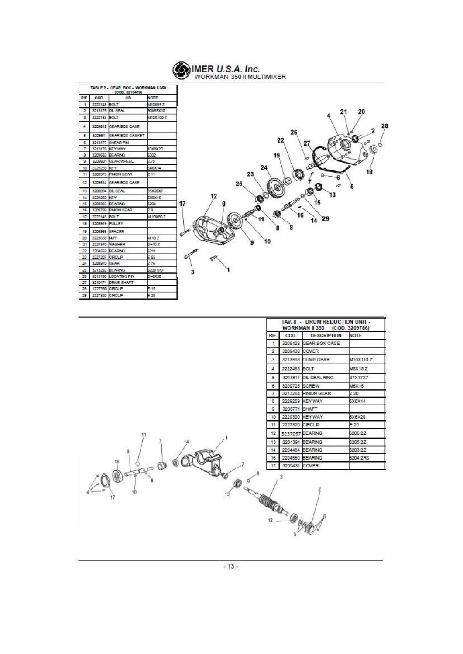**WER U.S.A. Inc.**<br>WORKMAN 350 II MULTIMIXER

| RF. | COD.           | GB                      | NOTE      |
|-----|----------------|-------------------------|-----------|
| t   | 2222148 BOLT   |                         | M10X65.Z  |
| 2   |                | 3213179 CL SEAL         | 90X65X10  |
| 3   | 2222153 BOLT   |                         | M10X100.Z |
| 4   |                | 3209515 CIEAR BOX CASE  |           |
| 5   |                | 3209811 GEAR BOX GASKET |           |
| 6   |                | 3213177 SHEAR PIN       |           |
| 7   |                | 3213178 KEYWAY          | 10X8X20   |
| B   |                | 3209682 BEARING         | 6302      |
| 9   |                | 3209801 GEAR WHEEL      | 2.79      |
| 10  | 2229259        | KEY                     | 5X6X14    |
| 11  |                | 3208975 PINON GEAR      | 211       |
| 12  |                | 3209514 GEAR BOX CASE   |           |
| 13  |                | 3200094 OIL SEAL        | 35X20X7   |
| 14  | 2229250 KEY    |                         | 5X5X15    |
| 15  |                | 3208983 BEARING         | 5204      |
| 16  |                | 3209799 PINON GEAR      | 79        |
| 17. | 2222145 BOLT   |                         | M 10X80 Z |
| 18  | 3208919 PULLEY |                         |           |
| 19  |                | 3208956 SPACER          |           |
| 20  | 2223650 NUT    |                         | M 10 Z    |
| 21  | 2224340        | WASHER                  | $D - 10Z$ |
| 22  |                | 2204569 BEARING         | 6211      |
| 23  | 2227207        | CROLP                   | E 55      |
| 24  | 3208970        | <b>GEAR</b>             | Z 76      |
| 25  |                | 3213282 BEARING         | 6208 SK/F |
| 26  |                | 3213180 LOCATING PIN    | D-8X30    |
| 27. |                | 3210474 DRIVE SHAFT     |           |
| 28  |                | 1227330 CRCLP           | E 15      |
|     | 2227320        | CROLIP                  | E 20      |



|                                                                                                                                                                                                                                                                                                                                                                                       | TAV. 8 - DRUM REDUCTION UNIT -<br><b>WORKMAN II 350</b><br>(COD. 3209786) |                |                       |               |
|---------------------------------------------------------------------------------------------------------------------------------------------------------------------------------------------------------------------------------------------------------------------------------------------------------------------------------------------------------------------------------------|---------------------------------------------------------------------------|----------------|-----------------------|---------------|
|                                                                                                                                                                                                                                                                                                                                                                                       | RIF.                                                                      | COD.           | <b>DESCRIPTION</b>    | <b>NOTE</b>   |
|                                                                                                                                                                                                                                                                                                                                                                                       | $\mathbf{1}$                                                              |                | 3209428 GEAR BOX CASE |               |
|                                                                                                                                                                                                                                                                                                                                                                                       | $\overline{2}$                                                            | 3209430 COVER  |                       |               |
|                                                                                                                                                                                                                                                                                                                                                                                       | 3                                                                         |                | 3213893 DUMP GEAR     | M10X110Z      |
|                                                                                                                                                                                                                                                                                                                                                                                       | 4                                                                         | 2222465 BOLT   |                       | <b>M5X15Z</b> |
|                                                                                                                                                                                                                                                                                                                                                                                       | 5                                                                         |                | 3213811 OIL SEAL RING | 47X17X7       |
|                                                                                                                                                                                                                                                                                                                                                                                       | 6                                                                         | 3209728 SCREW  |                       | M6X15         |
|                                                                                                                                                                                                                                                                                                                                                                                       | $\overline{7}$                                                            |                | 3213264 PINION GEAR   | Z 20          |
|                                                                                                                                                                                                                                                                                                                                                                                       | 8                                                                         |                | 2229259 KEYWAY        | 6X6X14        |
|                                                                                                                                                                                                                                                                                                                                                                                       | 9                                                                         | 3208771 SHAFT  |                       |               |
|                                                                                                                                                                                                                                                                                                                                                                                       | 10                                                                        |                | 2229300 KEYWAY        | 6X6X20        |
|                                                                                                                                                                                                                                                                                                                                                                                       | 11                                                                        | 2227320 CIRCLP |                       | E 20          |
| 11                                                                                                                                                                                                                                                                                                                                                                                    | 12                                                                        |                | 3237097 BEARING       | 6206 2Z       |
|                                                                                                                                                                                                                                                                                                                                                                                       | 13                                                                        |                | 2204391 BEARING       | 6205 2Z       |
|                                                                                                                                                                                                                                                                                                                                                                                       | 14                                                                        |                | 2204484 BEARING       | 6203 2Z       |
| 16                                                                                                                                                                                                                                                                                                                                                                                    | 16                                                                        |                | 2204560 BEARING       | 6204 2RS      |
| 60                                                                                                                                                                                                                                                                                                                                                                                    | 17                                                                        | 3209431 COVER  |                       |               |
| OF REAL<br>$Q - Q$<br>$\begin{picture}(180,10) \put(0,0){\line(1,0){10}} \put(10,0){\line(1,0){10}} \put(10,0){\line(1,0){10}} \put(10,0){\line(1,0){10}} \put(10,0){\line(1,0){10}} \put(10,0){\line(1,0){10}} \put(10,0){\line(1,0){10}} \put(10,0){\line(1,0){10}} \put(10,0){\line(1,0){10}} \put(10,0){\line(1,0){10}} \put(10,0){\line(1,0){10}} \put(10,0){\line($<br>10<br>17 |                                                                           | 3              |                       |               |